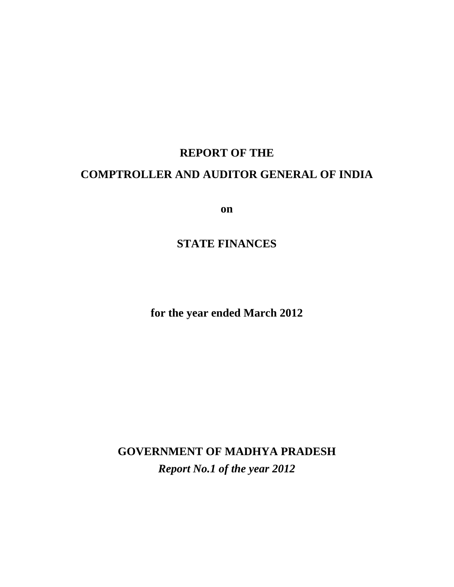## **REPORT OF THE COMPTROLLER AND AUDITOR GENERAL OF INDIA**

**on**

## **STATE FINANCES**

**for the year ended March 2012** 

**GOVERNMENT OF MADHYA PRADESH**  *Report No.1 of the year 2012*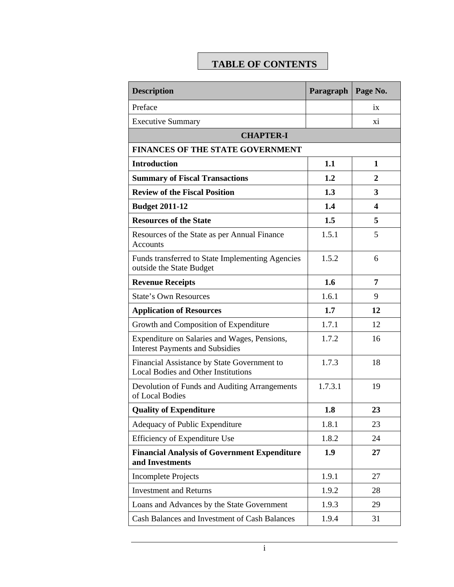## **TABLE OF CONTENTS**

| <b>Description</b>                                                                        | Paragraph | Page No. |
|-------------------------------------------------------------------------------------------|-----------|----------|
| Preface                                                                                   |           | ix       |
| <b>Executive Summary</b>                                                                  |           | xi       |
| <b>CHAPTER-I</b>                                                                          |           |          |
| FINANCES OF THE STATE GOVERNMENT                                                          |           |          |
| <b>Introduction</b>                                                                       | 1.1       | 1        |
| <b>Summary of Fiscal Transactions</b>                                                     | 1.2       | 2        |
| <b>Review of the Fiscal Position</b>                                                      | 1.3       | 3        |
| <b>Budget 2011-12</b>                                                                     | 1.4       | 4        |
| <b>Resources of the State</b>                                                             | 1.5       | 5        |
| Resources of the State as per Annual Finance<br><b>Accounts</b>                           | 1.5.1     | 5        |
| Funds transferred to State Implementing Agencies<br>outside the State Budget              | 1.5.2     | 6        |
| <b>Revenue Receipts</b>                                                                   | 1.6       | 7        |
| <b>State's Own Resources</b>                                                              | 1.6.1     | 9        |
| <b>Application of Resources</b>                                                           | 1.7       | 12       |
| Growth and Composition of Expenditure                                                     | 1.7.1     | 12       |
| Expenditure on Salaries and Wages, Pensions,<br><b>Interest Payments and Subsidies</b>    | 1.7.2     | 16       |
| Financial Assistance by State Government to<br><b>Local Bodies and Other Institutions</b> | 1.7.3     | 18       |
| Devolution of Funds and Auditing Arrangements<br>of Local Bodies                          | 1.7.3.1   | 19       |
| <b>Quality of Expenditure</b>                                                             | 1.8       | 23       |
| Adequacy of Public Expenditure                                                            | 1.8.1     | 23       |
| Efficiency of Expenditure Use                                                             | 1.8.2     | 24       |
| <b>Financial Analysis of Government Expenditure</b><br>and Investments                    | 1.9       | 27       |
| <b>Incomplete Projects</b>                                                                | 1.9.1     | 27       |
| <b>Investment and Returns</b>                                                             | 1.9.2     | 28       |
| Loans and Advances by the State Government                                                | 1.9.3     | 29       |
| Cash Balances and Investment of Cash Balances                                             | 1.9.4     | 31       |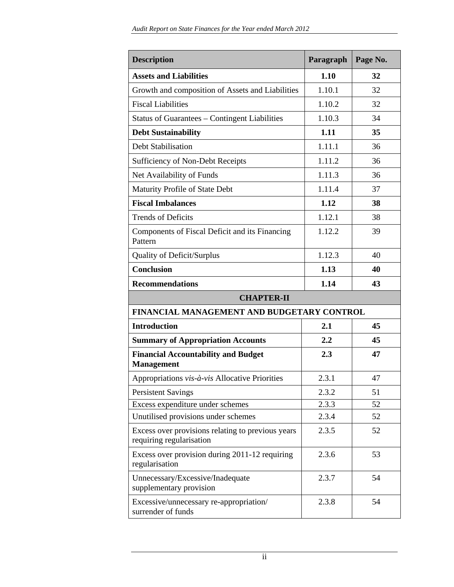| <b>Description</b>                                                            | Paragraph | Page No. |  |
|-------------------------------------------------------------------------------|-----------|----------|--|
| <b>Assets and Liabilities</b>                                                 | 1.10      | 32       |  |
| Growth and composition of Assets and Liabilities                              | 1.10.1    | 32       |  |
| <b>Fiscal Liabilities</b>                                                     | 1.10.2    | 32       |  |
| Status of Guarantees - Contingent Liabilities                                 | 1.10.3    | 34       |  |
| <b>Debt Sustainability</b>                                                    | 1.11      | 35       |  |
| Debt Stabilisation                                                            | 1.11.1    | 36       |  |
| Sufficiency of Non-Debt Receipts                                              | 1.11.2    | 36       |  |
| Net Availability of Funds                                                     | 1.11.3    | 36       |  |
| Maturity Profile of State Debt                                                | 1.11.4    | 37       |  |
| <b>Fiscal Imbalances</b>                                                      | 1.12      | 38       |  |
| <b>Trends of Deficits</b>                                                     | 1.12.1    | 38       |  |
| Components of Fiscal Deficit and its Financing<br>Pattern                     | 1.12.2    | 39       |  |
| <b>Quality of Deficit/Surplus</b>                                             | 1.12.3    | 40       |  |
| <b>Conclusion</b>                                                             | 1.13      | 40       |  |
| <b>Recommendations</b>                                                        | 1.14      | 43       |  |
| <b>CHAPTER-II</b>                                                             |           |          |  |
| FINANCIAL MANAGEMENT AND BUDGETARY CONTROL                                    |           |          |  |
| <b>Introduction</b>                                                           | 2.1       | 45       |  |
| <b>Summary of Appropriation Accounts</b>                                      | 2.2       | 45       |  |
| <b>Financial Accountability and Budget</b><br><b>Management</b>               | 2.3       | 47       |  |
| Appropriations vis-à-vis Allocative Priorities                                | 2.3.1     | 47       |  |
| <b>Persistent Savings</b>                                                     | 2.3.2     | 51       |  |
| Excess expenditure under schemes                                              | 2.3.3     | 52       |  |
| Unutilised provisions under schemes                                           | 2.3.4     | 52       |  |
| Excess over provisions relating to previous years<br>requiring regularisation | 2.3.5     | 52       |  |
| Excess over provision during 2011-12 requiring<br>regularisation              | 2.3.6     | 53       |  |
| Unnecessary/Excessive/Inadequate<br>supplementary provision                   | 2.3.7     | 54       |  |
| Excessive/unnecessary re-appropriation/<br>surrender of funds                 | 2.3.8     | 54       |  |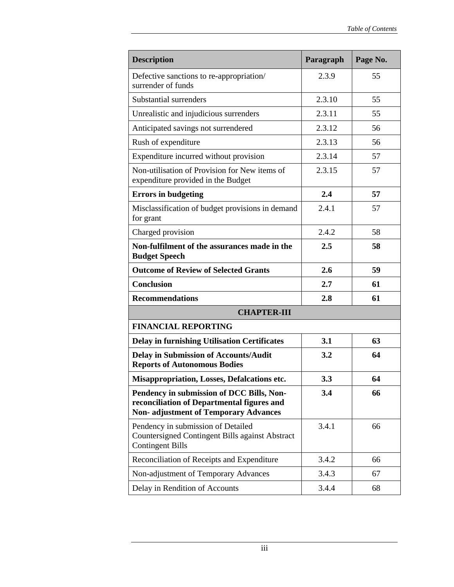| <b>Description</b>                                                                                                                     | Paragraph | Page No. |  |
|----------------------------------------------------------------------------------------------------------------------------------------|-----------|----------|--|
| Defective sanctions to re-appropriation/<br>surrender of funds                                                                         | 2.3.9     | 55       |  |
| Substantial surrenders                                                                                                                 | 2.3.10    | 55       |  |
| Unrealistic and injudicious surrenders                                                                                                 | 2.3.11    | 55       |  |
| Anticipated savings not surrendered                                                                                                    | 2.3.12    | 56       |  |
| Rush of expenditure                                                                                                                    | 2.3.13    | 56       |  |
| Expenditure incurred without provision                                                                                                 | 2.3.14    | 57       |  |
| Non-utilisation of Provision for New items of<br>expenditure provided in the Budget                                                    | 2.3.15    | 57       |  |
| <b>Errors in budgeting</b>                                                                                                             | 2.4       | 57       |  |
| Misclassification of budget provisions in demand<br>for grant                                                                          | 2.4.1     | 57       |  |
| Charged provision                                                                                                                      | 2.4.2     | 58       |  |
| Non-fulfilment of the assurances made in the<br><b>Budget Speech</b>                                                                   | 2.5       | 58       |  |
| <b>Outcome of Review of Selected Grants</b>                                                                                            | 2.6       | 59       |  |
| <b>Conclusion</b>                                                                                                                      | 2.7       | 61       |  |
| <b>Recommendations</b>                                                                                                                 | 2.8       | 61       |  |
| <b>CHAPTER-III</b>                                                                                                                     |           |          |  |
| <b>FINANCIAL REPORTING</b>                                                                                                             |           |          |  |
| <b>Delay in furnishing Utilisation Certificates</b>                                                                                    | 3.1       | 63       |  |
| <b>Delay in Submission of Accounts/Audit</b><br><b>Reports of Autonomous Bodies</b>                                                    | 3.2       | 64       |  |
| <b>Misappropriation, Losses, Defalcations etc.</b>                                                                                     | 3.3       | 64       |  |
| Pendency in submission of DCC Bills, Non-<br>reconciliation of Departmental figures and<br><b>Non-adjustment of Temporary Advances</b> | 3.4       | 66       |  |
| Pendency in submission of Detailed<br>Countersigned Contingent Bills against Abstract<br><b>Contingent Bills</b>                       | 3.4.1     | 66       |  |
| Reconciliation of Receipts and Expenditure                                                                                             | 3.4.2     | 66       |  |
| Non-adjustment of Temporary Advances                                                                                                   | 3.4.3     | 67       |  |
| Delay in Rendition of Accounts                                                                                                         | 3.4.4     | 68       |  |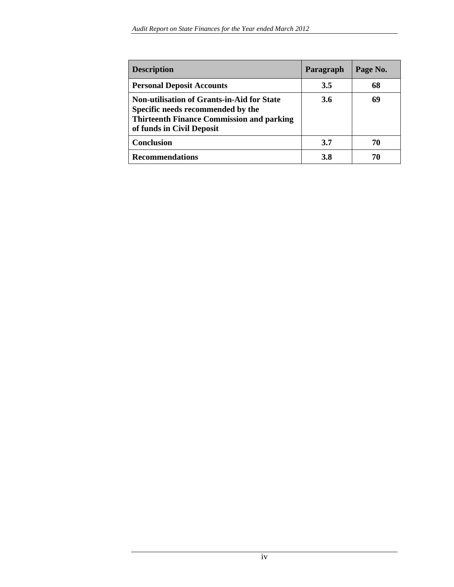| <b>Description</b>                                                                                                                                                      | Paragraph | Page No. |
|-------------------------------------------------------------------------------------------------------------------------------------------------------------------------|-----------|----------|
| <b>Personal Deposit Accounts</b>                                                                                                                                        | 3.5       | 68       |
| <b>Non-utilisation of Grants-in-Aid for State</b><br>Specific needs recommended by the<br><b>Thirteenth Finance Commission and parking</b><br>of funds in Civil Deposit | 3.6       | 69       |
| <b>Conclusion</b>                                                                                                                                                       | 3.7       | 70       |
| <b>Recommendations</b>                                                                                                                                                  | 3.8       | 70       |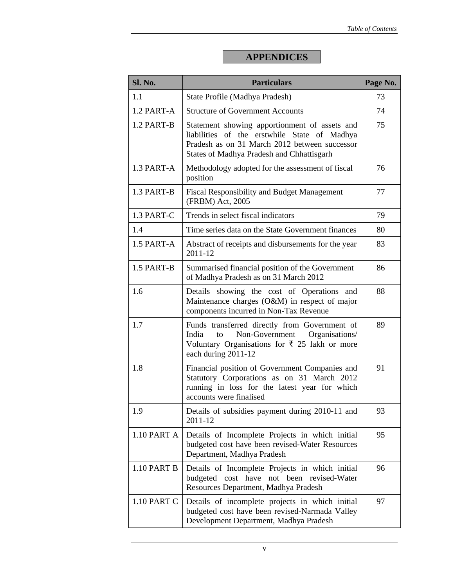## **APPENDICES**

| Sl. No.     | <b>Particulars</b>                                                                                                                                                                          | Page No. |
|-------------|---------------------------------------------------------------------------------------------------------------------------------------------------------------------------------------------|----------|
| 1.1         | State Profile (Madhya Pradesh)                                                                                                                                                              | 73       |
| 1.2 PART-A  | <b>Structure of Government Accounts</b>                                                                                                                                                     | 74       |
| 1.2 PART-B  | Statement showing apportionment of assets and<br>liabilities of the erstwhile State of Madhya<br>Pradesh as on 31 March 2012 between successor<br>States of Madhya Pradesh and Chhattisgarh | 75       |
| 1.3 PART-A  | Methodology adopted for the assessment of fiscal<br>position                                                                                                                                | 76       |
| 1.3 PART-B  | <b>Fiscal Responsibility and Budget Management</b><br>(FRBM) Act, 2005                                                                                                                      | 77       |
| 1.3 PART-C  | Trends in select fiscal indicators                                                                                                                                                          | 79       |
| 1.4         | Time series data on the State Government finances                                                                                                                                           | 80       |
| 1.5 PART-A  | Abstract of receipts and disbursements for the year<br>2011-12                                                                                                                              | 83       |
| 1.5 PART-B  | Summarised financial position of the Government<br>of Madhya Pradesh as on 31 March 2012                                                                                                    | 86       |
| 1.6         | Details showing the cost of Operations and<br>Maintenance charges (O&M) in respect of major<br>components incurred in Non-Tax Revenue                                                       | 88       |
| 1.7         | Funds transferred directly from Government of<br>Non-Government Organisations/<br>India<br>to<br>Voluntary Organisations for ₹ 25 lakh or more<br>each during 2011-12                       | 89       |
| 1.8         | Financial position of Government Companies and<br>Statutory Corporations as on 31 March 2012<br>running in loss for the latest year for which<br>accounts were finalised                    | 91       |
| 1.9         | Details of subsidies payment during 2010-11 and<br>2011-12                                                                                                                                  | 93       |
| 1.10 PART A | Details of Incomplete Projects in which initial<br>budgeted cost have been revised-Water Resources<br>Department, Madhya Pradesh                                                            | 95       |
| 1.10 PART B | Details of Incomplete Projects in which initial<br>budgeted cost have not been revised-Water<br>Resources Department, Madhya Pradesh                                                        | 96       |
| 1.10 PART C | Details of incomplete projects in which initial<br>budgeted cost have been revised-Narmada Valley<br>Development Department, Madhya Pradesh                                                 | 97       |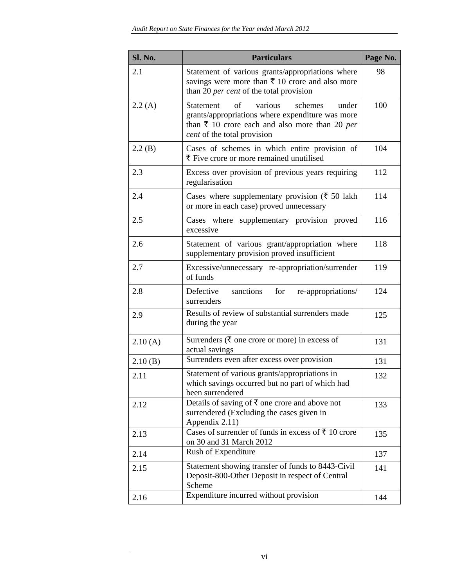| Sl. No. | <b>Particulars</b>                                                                                                                                                                                 | Page No. |
|---------|----------------------------------------------------------------------------------------------------------------------------------------------------------------------------------------------------|----------|
| 2.1     | Statement of various grants/appropriations where<br>savings were more than $\bar{\tau}$ 10 crore and also more<br>than 20 per cent of the total provision                                          | 98       |
| 2.2(A)  | of<br>various<br>schemes<br><b>Statement</b><br>under<br>grants/appropriations where expenditure was more<br>than $\bar{x}$ 10 crore each and also more than 20 per<br>cent of the total provision | 100      |
| 2.2(B)  | Cases of schemes in which entire provision of<br>₹ Five crore or more remained unutilised                                                                                                          | 104      |
| 2.3     | Excess over provision of previous years requiring<br>regularisation                                                                                                                                | 112      |
| 2.4     | Cases where supplementary provision ( $\bar{\tau}$ 50 lakh<br>or more in each case) proved unnecessary                                                                                             | 114      |
| 2.5     | Cases where supplementary provision proved<br>excessive                                                                                                                                            | 116      |
| 2.6     | Statement of various grant/appropriation where<br>supplementary provision proved insufficient                                                                                                      | 118      |
| 2.7     | Excessive/unnecessary re-appropriation/surrender<br>of funds                                                                                                                                       | 119      |
| 2.8     | for<br>Defective<br>sanctions<br>re-appropriations/<br>surrenders                                                                                                                                  | 124      |
| 2.9     | Results of review of substantial surrenders made<br>during the year                                                                                                                                | 125      |
| 2.10(A) | Surrenders ( $\bar{\tau}$ one crore or more) in excess of<br>actual savings                                                                                                                        | 131      |
| 2.10(B) | Surrenders even after excess over provision                                                                                                                                                        | 131      |
| 2.11    | Statement of various grants/appropriations in<br>which savings occurred but no part of which had<br>been surrendered                                                                               | 132      |
| 2.12    | Details of saving of $\bar{\tau}$ one crore and above not<br>surrendered (Excluding the cases given in<br>Appendix 2.11)                                                                           | 133      |
| 2.13    | Cases of surrender of funds in excess of ₹ 10 crore<br>on 30 and 31 March 2012                                                                                                                     | 135      |
| 2.14    | Rush of Expenditure                                                                                                                                                                                | 137      |
| 2.15    | Statement showing transfer of funds to 8443-Civil<br>Deposit-800-Other Deposit in respect of Central<br>Scheme                                                                                     | 141      |
| 2.16    | Expenditure incurred without provision                                                                                                                                                             | 144      |